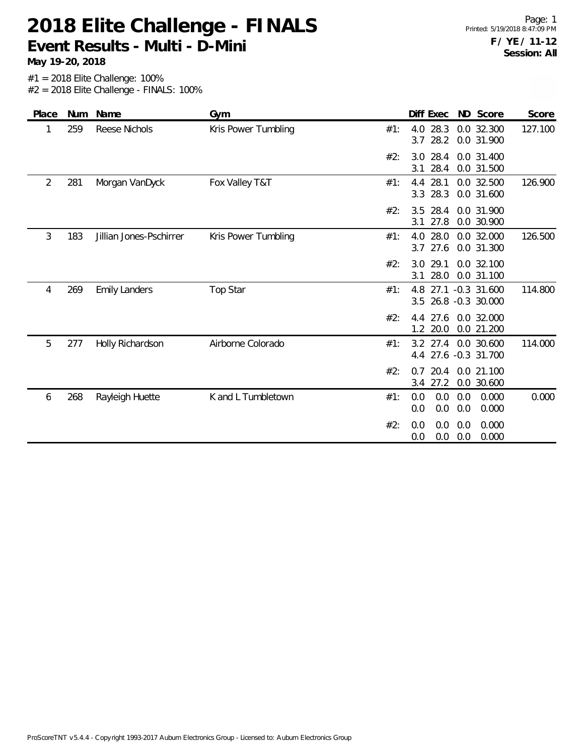**May 19-20, 2018**

| Place | <b>Num</b> | Name                    | Gym                 |     | Diff Exec                  | ND Score                                | Score   |
|-------|------------|-------------------------|---------------------|-----|----------------------------|-----------------------------------------|---------|
|       | 259        | <b>Reese Nichols</b>    | Kris Power Tumbling | #1: | 4.0 28.3<br>28.2<br>3.7    | 0.0 32.300<br>0.0 31.900                | 127.100 |
|       |            |                         |                     | #2: | 28.4<br>3.0<br>28.4<br>3.1 | 0.0 31.400<br>0.0 31.500                |         |
| 2     | 281        | Morgan VanDyck          | Fox Valley T&T      | #1: | 28.1<br>4.4<br>28.3<br>3.3 | 0.0 32.500<br>0.0 31.600                | 126.900 |
|       |            |                         |                     | #2: | 28.4<br>3.5<br>27.8<br>3.1 | 0.0 31.900<br>0.0 30.900                |         |
| 3     | 183        | Jillian Jones-Pschirrer | Kris Power Tumbling | #1: | 28.0<br>4.0<br>27.6<br>3.7 | 0.0 32.000<br>0.0 31.300                | 126.500 |
|       |            |                         |                     | #2: | 29.1<br>3.0<br>28.0<br>3.1 | 0.0 32.100<br>0.0 31.100                |         |
| 4     | 269        | <b>Emily Landers</b>    | Top Star            | #1: | 4.8<br>3.5                 | 27.1 -0.3 31.600<br>26.8 -0.3 30.000    | 114.800 |
|       |            |                         |                     | #2: | 27.6<br>4.4<br>20.0<br>1.2 | 0.0 32.000<br>0.0 21.200                |         |
| 5     | 277        | Holly Richardson        | Airborne Colorado   | #1: | 4.4                        | 3.2 27.4 0.0 30.600<br>27.6 -0.3 31.700 | 114.000 |
|       |            |                         |                     | #2: | 20.4<br>0.7<br>3.4 27.2    | 0.0 21.100<br>0.0 30.600                |         |
| 6     | 268        | Rayleigh Huette         | K and L Tumbletown  | #1: | 0.0<br>0.0<br>0.0<br>0.0   | 0.0<br>0.000<br>0.0<br>0.000            | 0.000   |
|       |            |                         |                     | #2: | 0.0<br>0.0<br>0.0<br>0.0   | 0.000<br>0.0<br>0.0<br>0.000            |         |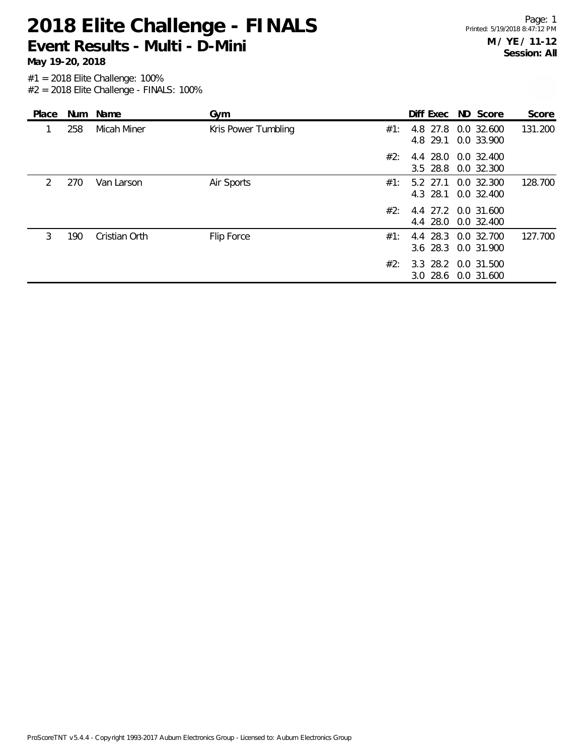**May 19-20, 2018**

| Place         |     | Num Name      | Gym                 |     | Diff Exec ND Score                         |                          | Score   |
|---------------|-----|---------------|---------------------|-----|--------------------------------------------|--------------------------|---------|
|               | 258 | Micah Miner   | Kris Power Tumbling | #1: | 4.8 27.8<br>4.8 29.1                       | 0.0 32.600<br>0.0 33.900 | 131.200 |
|               |     |               |                     | #2: | 4.4 28.0 0.0 32.400<br>$3.5$ 28.8          | 0.0 32.300               |         |
| $\mathcal{P}$ | 270 | Van Larson    | Air Sports          | #1: | 5.2 27.1 0.0 32.300<br>4.3 28.1 0.0 32.400 |                          | 128.700 |
|               |     |               |                     | #2: | 4.4 27.2 0.0 31.600<br>4.4 28.0 0.0 32.400 |                          |         |
| 3             | 190 | Cristian Orth | Flip Force          | #1: | 4.4 28.3 0.0 32.700<br>3.6 28.3 0.0 31.900 |                          | 127.700 |
|               |     |               |                     | #2: | 3.3 28.2 0.0 31.500<br>3.0 28.6 0.0 31.600 |                          |         |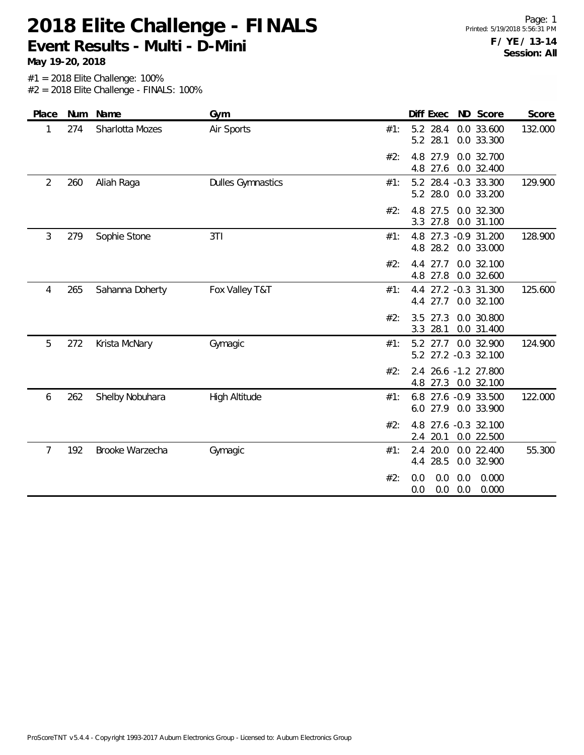**May 19-20, 2018**

Page: 1 Printed: 5/19/2018 5:56:31 PM **F / YE / 13-14 Session: All**

| Place          |     | Num Name        | Gym                      |     | Diff Exec                  | ND Score                                    | Score   |
|----------------|-----|-----------------|--------------------------|-----|----------------------------|---------------------------------------------|---------|
| 1              | 274 | Sharlotta Mozes | Air Sports               | #1: | 5.2 28.4<br>5.2 28.1       | 0.0 33.600<br>0.0 33.300                    | 132.000 |
|                |     |                 |                          | #2: | 27.9<br>4.8<br>4.8<br>27.6 | 0.0 32.700<br>0.0 32.400                    |         |
| $\overline{2}$ | 260 | Aliah Raga      | <b>Dulles Gymnastics</b> | #1: | 5.2 28.0                   | 5.2 28.4 -0.3 33.300<br>0.0 33.200          | 129.900 |
|                |     |                 |                          | #2: | 27.5<br>4.8<br>3.3<br>27.8 | 0.0 32.300<br>0.0 31.100                    |         |
| 3              | 279 | Sophie Stone    | 3T1                      | #1: | 28.2<br>4.8                | 4.8 27.3 -0.9 31.200<br>0.0 33.000          | 128.900 |
|                |     |                 |                          | #2: | 27.7<br>4.4<br>4.8 27.8    | 0.0 32.100<br>0.0 32.600                    |         |
| 4              | 265 | Sahanna Doherty | Fox Valley T&T           | #1: | 4.4 27.7                   | 4.4 27.2 -0.3 31.300<br>0.0 32.100          | 125.600 |
|                |     |                 |                          | #2: | 27.3<br>3.5<br>28.1<br>3.3 | 0.0 30.800<br>0.0 31.400                    |         |
| 5              | 272 | Krista McNary   | Gymagic                  | #1: |                            | 5.2 27.7 0.0 32.900<br>5.2 27.2 -0.3 32.100 | 124.900 |
|                |     |                 |                          | #2: |                            | 2.4 26.6 -1.2 27.800<br>4.8 27.3 0.0 32.100 |         |
| 6              | 262 | Shelby Nobuhara | High Altitude            | #1: |                            | 6.8 27.6 -0.9 33.500<br>6.0 27.9 0.0 33.900 | 122.000 |
|                |     |                 |                          | #2: | 4.8<br>2.4                 | 27.6 -0.3 32.100<br>20.1 0.0 22.500         |         |
| 7              | 192 | Brooke Warzecha | Gymagic                  | #1: | 2.4<br>20.0<br>4.4 28.5    | 0.0 22.400<br>0.0 32.900                    | 55.300  |
|                |     |                 |                          | #2: | 0.0<br>0.0<br>0.0<br>0.0   | 0.000<br>0.0<br>0.0<br>0.000                |         |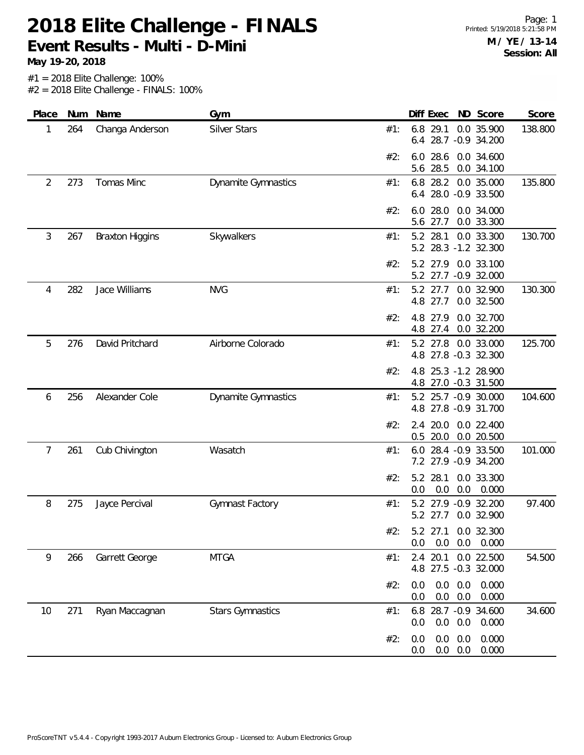**May 19-20, 2018**

| 264<br>1<br>2<br>273<br>3<br>267 | Changa Anderson<br>Tomas Minc<br><b>Braxton Higgins</b> | Silver Stars<br><b>Dynamite Gymnastics</b> | 6.8<br>29.1<br>0.0 35.900<br>138.800<br>#1:<br>28.7 -0.9 34.200<br>6.4<br>#2:<br>28.6<br>0.0 34.600<br>6.0<br>5.6 28.5<br>0.0 34.100<br>135.800<br>6.8 28.2<br>0.0 35.000<br>#1:<br>28.0 -0.9 33.500<br>6.4<br>28.0<br>0.0 34.000<br>#2:<br>6.0 |
|----------------------------------|---------------------------------------------------------|--------------------------------------------|-------------------------------------------------------------------------------------------------------------------------------------------------------------------------------------------------------------------------------------------------|
|                                  |                                                         |                                            |                                                                                                                                                                                                                                                 |
|                                  |                                                         |                                            |                                                                                                                                                                                                                                                 |
|                                  |                                                         |                                            |                                                                                                                                                                                                                                                 |
|                                  |                                                         |                                            | 0.0 33.300<br>5.6<br>27.7                                                                                                                                                                                                                       |
|                                  |                                                         | Skywalkers                                 | 0.0 33.300<br>#1:<br>5.2<br>28.1<br>130.700<br>5.2 28.3 -1.2 32.300                                                                                                                                                                             |
|                                  |                                                         |                                            | 0.0 33.100<br>#2:<br>5.2 27.9<br>5.2 27.7 -0.9 32.000                                                                                                                                                                                           |
| 282<br>4                         | Jace Williams                                           | <b>NVG</b>                                 | 5.2 27.7<br>0.0 32.900<br>130.300<br>#1:<br>4.8 27.7<br>0.0 32.500                                                                                                                                                                              |
|                                  |                                                         |                                            | #2:<br>4.8<br>27.9<br>0.0 32.700<br>4.8 27.4<br>0.0 32.200                                                                                                                                                                                      |
| 5<br>276                         | David Pritchard                                         | Airborne Colorado                          | 5.2 27.8<br>0.0 33.000<br>125.700<br>#1:<br>4.8 27.8 -0.3 32.300                                                                                                                                                                                |
|                                  |                                                         |                                            | 4.8<br>25.3 -1.2 28.900<br>#2:<br>4.8 27.0 -0.3 31.500                                                                                                                                                                                          |
| 256<br>6                         | Alexander Cole                                          | <b>Dynamite Gymnastics</b>                 | 104.600<br>5.2 25.7 -0.9 30.000<br>#1:<br>4.8 27.8 -0.9 31.700                                                                                                                                                                                  |
|                                  |                                                         |                                            | 20.0<br>0.0 22.400<br>#2:<br>2.4<br>$0.5$ 20.0<br>0.0 20.500                                                                                                                                                                                    |
| 261<br>7                         | Cub Chivington                                          | Wasatch                                    | 101.000<br>28.4 - 0.9 33.500<br>#1:<br>6.0<br>7.2 27.9 -0.9 34.200                                                                                                                                                                              |
|                                  |                                                         |                                            | #2:<br>0.0 33.300<br>5.2<br>28.1<br>0.0<br>0.0<br>0.0<br>0.000                                                                                                                                                                                  |
| 8<br>275                         | Jayce Percival                                          | Gymnast Factory                            | 5.2 27.9 -0.9 32.200<br>97.400<br>#1:<br>5.2 27.7<br>0.0 32.900                                                                                                                                                                                 |
|                                  |                                                         |                                            | #2:<br>5.2 27.1 0.0 32.300<br>0.0<br>0.0<br>0.0<br>0.000                                                                                                                                                                                        |
| 9<br>266                         | Garrett George                                          | <b>MTGA</b>                                | 20.1<br>0.0 22.500<br>#1:<br>2.4<br>54.500<br>27.5 -0.3 32.000<br>4.8                                                                                                                                                                           |
|                                  |                                                         |                                            | 0.0<br>0.0<br>0.000<br>#2:<br>0.0<br>$0.0\ 0.0$<br>0.0<br>0.000                                                                                                                                                                                 |
| 271<br>10                        | Ryan Maccagnan                                          | <b>Stars Gymnastics</b>                    | 28.7 -0.9 34.600<br>34.600<br>#1:<br>6.8<br>0.0<br>0.0<br>0.0<br>0.000                                                                                                                                                                          |
|                                  |                                                         |                                            | 0.0<br>0.000<br>0.0<br>#2:<br>0.0<br>0.0<br>0.0<br>0.000<br>0.0                                                                                                                                                                                 |
|                                  |                                                         |                                            |                                                                                                                                                                                                                                                 |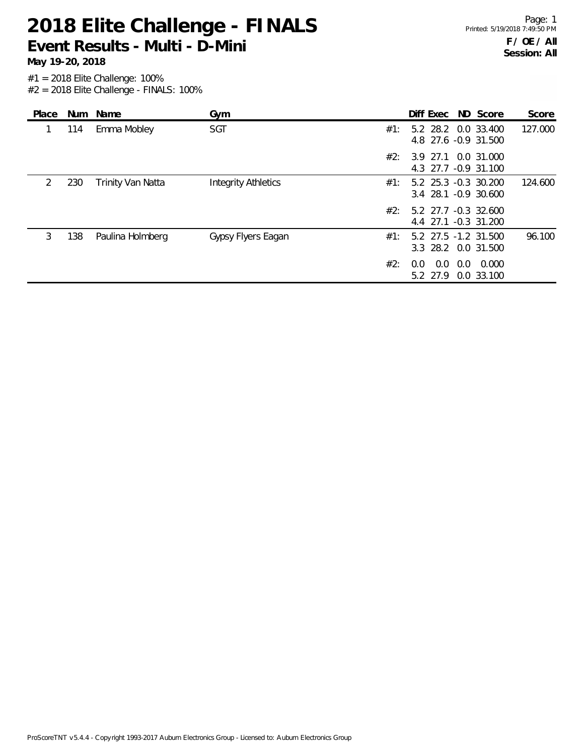**May 19-20, 2018**

| Place         | Num | Name              | Gym                        | Diff Exec ND Score<br>Score                                     |
|---------------|-----|-------------------|----------------------------|-----------------------------------------------------------------|
|               | 114 | Emma Mobley       | <b>SGT</b>                 | 127.000<br>5.2 28.2 0.0 33.400<br>#1:<br>4.8 27.6 -0.9 31.500   |
|               |     |                   |                            | #2:<br>3.9 27.1 0.0 31.000<br>4.3 27.7 -0.9 31.100              |
| $\mathcal{L}$ | 230 | Trinity Van Natta | <b>Integrity Athletics</b> | 124.600<br>5.2 25.3 -0.3 30.200<br>#1:<br>3.4 28.1 -0.9 30.600  |
|               |     |                   |                            | #2:<br>5.2 27.7 -0.3 32.600<br>4.4 27.1 -0.3 31.200             |
| 3             | 138 | Paulina Holmberg  | Gypsy Flyers Eagan         | 96.100<br>5.2 27.5 -1.2 31.500<br>#1:<br>3.3 28.2 0.0 31.500    |
|               |     |                   |                            | #2:<br>0.0<br>0.0<br>0.000<br>$0.0^-$<br>5.2 27.9<br>0.0 33.100 |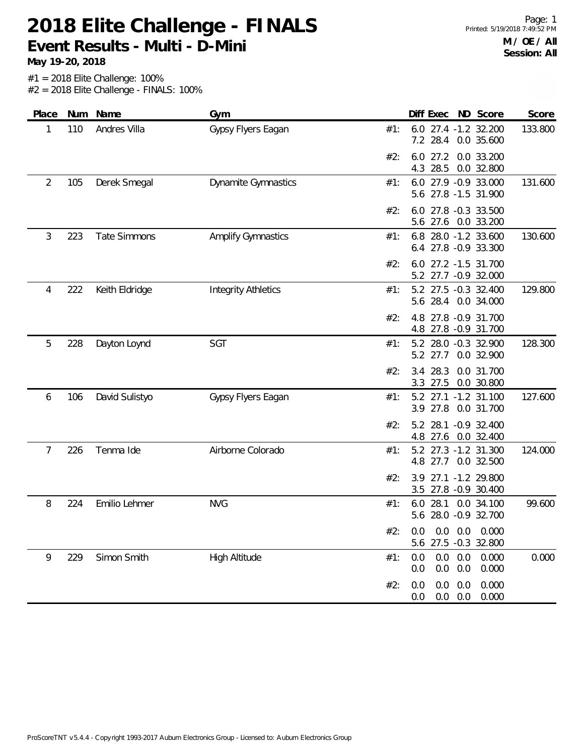**May 19-20, 2018**

| Place | Num | Name                | Gym                        |     | Diff Exec ND Score                                               | Score   |
|-------|-----|---------------------|----------------------------|-----|------------------------------------------------------------------|---------|
| 1     | 110 | Andres Villa        | Gypsy Flyers Eagan         | #1: | 6.0 27.4 -1.2 32.200<br>7.2 28.4 0.0 35.600                      | 133.800 |
|       |     |                     |                            | #2: | $6.0$ 27.2<br>0.0 33.200<br>28.5<br>0.0 32.800<br>4.3            |         |
| 2     | 105 | Derek Smegal        | Dynamite Gymnastics        | #1: | 6.0 27.9 -0.9 33.000<br>5.6 27.8 -1.5 31.900                     | 131.600 |
|       |     |                     |                            | #2: | 6.0 27.8 -0.3 33.500<br>5.6 27.6 0.0 33.200                      |         |
| 3     | 223 | <b>Tate Simmons</b> | <b>Amplify Gymnastics</b>  | #1: | 6.8 28.0 -1.2 33.600<br>6.4 27.8 -0.9 33.300                     | 130.600 |
|       |     |                     |                            | #2: | 6.0 27.2 -1.5 31.700<br>5.2 27.7 -0.9 32.000                     |         |
| 4     | 222 | Keith Eldridge      | <b>Integrity Athletics</b> | #1: | 5.2 27.5 -0.3 32.400<br>5.6 28.4 0.0 34.000                      | 129.800 |
|       |     |                     |                            | #2: | 4.8 27.8 -0.9 31.700<br>4.8 27.8 -0.9 31.700                     |         |
| 5     | 228 | Dayton Loynd        | SGT                        | #1: | 5.2 28.0 -0.3 32.900<br>5.2 27.7<br>0.0 32.900                   | 128.300 |
|       |     |                     |                            | #2: | 28.3<br>0.0 31.700<br>3.4<br>0.0 30.800<br>3.3 27.5              |         |
| 6     | 106 | David Sulistyo      | Gypsy Flyers Eagan         | #1: | 5.2 27.1 -1.2 31.100<br>3.9 27.8 0.0 31.700                      | 127.600 |
|       |     |                     |                            | #2: | 28.1 -0.9 32.400<br>5.2<br>4.8 27.6 0.0 32.400                   |         |
| 7     | 226 | Tenma Ide           | Airborne Colorado          | #1: | 5.2 27.3 -1.2 31.300<br>4.8 27.7 0.0 32.500                      | 124.000 |
|       |     |                     |                            | #2: | 27.1 -1.2 29.800<br>3.9<br>27.8 -0.9 30.400<br>3.5               |         |
| 8     | 224 | Emilio Lehmer       | <b>NVG</b>                 | #1: | 28.1 0.0 34.100<br>6.0<br>5.6 28.0 -0.9 32.700                   | 99.600  |
|       |     |                     |                            | #2: | 0.0 0.0 0.0 0.000<br>5.6 27.5 -0.3 32.800                        |         |
| 9     | 229 | Simon Smith         | <b>High Altitude</b>       | #1: | 0.0<br>$0.0\quad 0.0$<br>0.000<br>$0.0\ 0.0$<br>0.000<br>0.0     | 0.000   |
|       |     |                     |                            | #2: | 0.0<br>$0.0\quad 0.0$<br>0.000<br>$0.0\quad 0.0$<br>0.000<br>0.0 |         |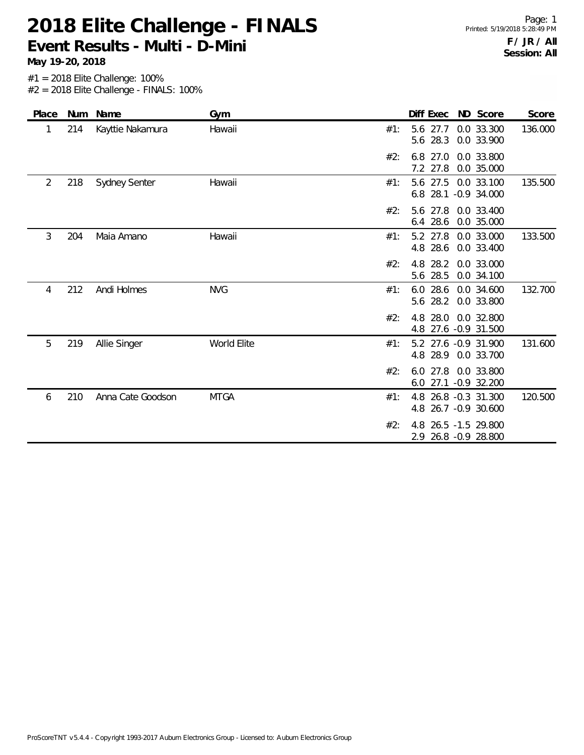**May 19-20, 2018**

| Place |     | Num Name          | Gym         |     | Diff Exec                                    | ND Score                 | Score   |
|-------|-----|-------------------|-------------|-----|----------------------------------------------|--------------------------|---------|
|       | 214 | Kayttie Nakamura  | Hawaii      | #1: | 5.6 27.7<br>28.3<br>5.6                      | 0.0 33.300<br>0.0 33.900 | 136.000 |
|       |     |                   |             | #2: | 6.8 27.0<br>7.2 27.8                         | 0.0 33.800<br>0.0 35.000 |         |
| 2     | 218 | Sydney Senter     | Hawaii      | #1: | 5.6 27.5 0.0 33.100<br>6.8                   | 28.1 -0.9 34.000         | 135.500 |
|       |     |                   |             | #2: | 5.6 27.8 0.0 33.400<br>28.6<br>6.4           | 0.0 35.000               |         |
| 3     | 204 | Maia Amano        | Hawaii      | #1: | 5.2 27.8<br>4.8 28.6                         | 0.0 33.000<br>0.0 33.400 | 133.500 |
|       |     |                   |             | #2: | 28.2<br>4.8<br>5.6 28.5                      | 0.0 33.000<br>0.0 34.100 |         |
| 4     | 212 | Andi Holmes       | <b>NVG</b>  | #1: | $6.0$ 28.6<br>5.6 28.2                       | 0.0 34.600<br>0.0 33.800 | 132.700 |
|       |     |                   |             | #2: | 4.8 28.0<br>4.8 27.6 -0.9 31.500             | 0.0 32.800               |         |
| 5     | 219 | Allie Singer      | World Elite | #1: | 5.2 27.6 -0.9 31.900<br>4.8 28.9 0.0 33.700  |                          | 131.600 |
|       |     |                   |             | #2: | 6.0 27.8<br>6.0 27.1 -0.9 32.200             | 0.0 33.800               |         |
| 6     | 210 | Anna Cate Goodson | <b>MTGA</b> | #1: | 4.8<br>4.8 26.7 -0.9 30.600                  | 26.8 -0.3 31.300         | 120.500 |
|       |     |                   |             | #2: | 4.8 26.5 -1.5 29.800<br>2.9 26.8 -0.9 28.800 |                          |         |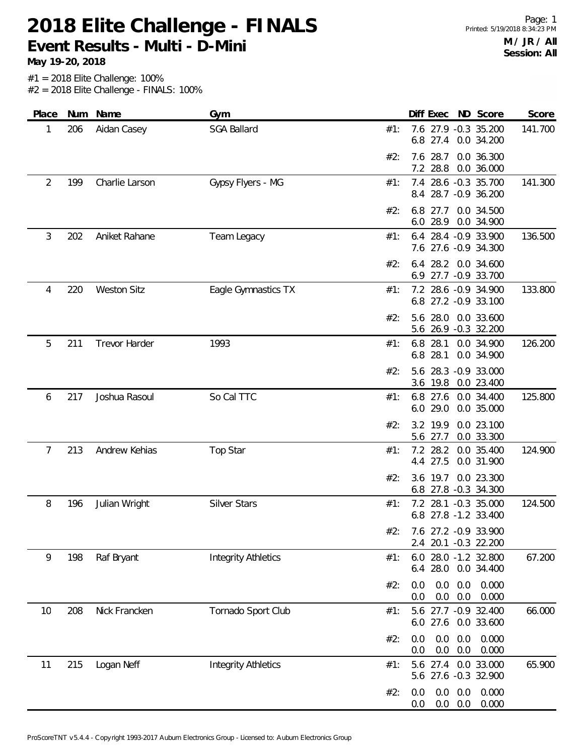**May 19-20, 2018**

| Place          | Num | Name                 | Gym                        |     | Diff Exec ND Score                                               | Score   |
|----------------|-----|----------------------|----------------------------|-----|------------------------------------------------------------------|---------|
| 1              | 206 | Aidan Casey          | <b>SGA Ballard</b>         | #1: | 7.6 27.9 -0.3 35.200<br>6.8 27.4 0.0 34.200                      | 141.700 |
|                |     |                      |                            | #2: | 28.7<br>0.0 36.300<br>7.6<br>7.2 28.8<br>0.0 36.000              |         |
| $\overline{2}$ | 199 | Charlie Larson       | Gypsy Flyers - MG          | #1: | 7.4 28.6 -0.3 35.700<br>8.4 28.7 -0.9 36.200                     | 141.300 |
|                |     |                      |                            | #2: | 6.8 27.7 0.0 34.500<br>6.0 28.9 0.0 34.900                       |         |
| 3              | 202 | Aniket Rahane        | Team Legacy                | #1: | 6.4 28.4 -0.9 33.900<br>7.6 27.6 -0.9 34.300                     | 136.500 |
|                |     |                      |                            | #2: | 6.4 28.2<br>0.0 34.600<br>6.9 27.7 -0.9 33.700                   |         |
| 4              | 220 | <b>Weston Sitz</b>   | Eagle Gymnastics TX        | #1: | 7.2 28.6 -0.9 34.900<br>6.8 27.2 -0.9 33.100                     | 133.800 |
|                |     |                      |                            | #2: | 5.6 28.0 0.0 33.600<br>5.6 26.9 -0.3 32.200                      |         |
| 5              | 211 | <b>Trevor Harder</b> | 1993                       | #1: | 6.8 28.1<br>0.0 34.900<br>6.8 28.1<br>0.0 34.900                 | 126.200 |
|                |     |                      |                            | #2: | 5.6 28.3 -0.9 33.000<br>3.6 19.8 0.0 23.400                      |         |
| 6              | 217 | Joshua Rasoul        | So Cal TTC                 | #1: | 6.8 27.6 0.0 34.400<br>6.0 29.0<br>0.0 35.000                    | 125.800 |
|                |     |                      |                            | #2: | 3.2 19.9<br>0.0 23.100<br>5.6 27.7<br>0.0 33.300                 |         |
| 7              | 213 | Andrew Kehias        | Top Star                   | #1: | 7.2 28.2<br>0.0 35.400<br>27.5<br>0.0 31.900<br>4.4              | 124.900 |
|                |     |                      |                            | #2: | 3.6 19.7 0.0 23.300<br>6.8 27.8 -0.3 34.300                      |         |
| 8              | 196 | Julian Wright        | Silver Stars               | #1: | 7.2 28.1 -0.3 35.000<br>6.8 27.8 -1.2 33.400                     | 124.500 |
|                |     |                      |                            | #2: | 7.6 27.2 -0.9 33.900<br>2.4 20.1 -0.3 22.200                     |         |
| 9              | 198 | Raf Bryant           | <b>Integrity Athletics</b> | #1: | 6.0 28.0 -1.2 32.800<br>6.4 28.0 0.0 34.400                      | 67.200  |
|                |     |                      |                            | #2: | $0.0\quad 0.0$<br>0.000<br>0.0<br>$0.0\quad 0.0$<br>0.000<br>0.0 |         |
| 10             | 208 | Nick Francken        | Tornado Sport Club         | #1: | 5.6 27.7 -0.9 32.400<br>6.0 27.6 0.0 33.600                      | 66.000  |
|                |     |                      |                            | #2: | 0.0<br>0.0<br>0.0<br>0.000<br>0.0<br>0.0<br>0.000<br>0.0         |         |
| 11             | 215 | Logan Neff           | <b>Integrity Athletics</b> | #1: | 5.6 27.4<br>0.0 33.000<br>5.6 27.6 -0.3 32.900                   | 65.900  |
|                |     |                      |                            | #2: | 0.000<br>$0.0\quad 0.0$<br>0.0<br>0.0<br>0.0<br>0.000<br>0.0     |         |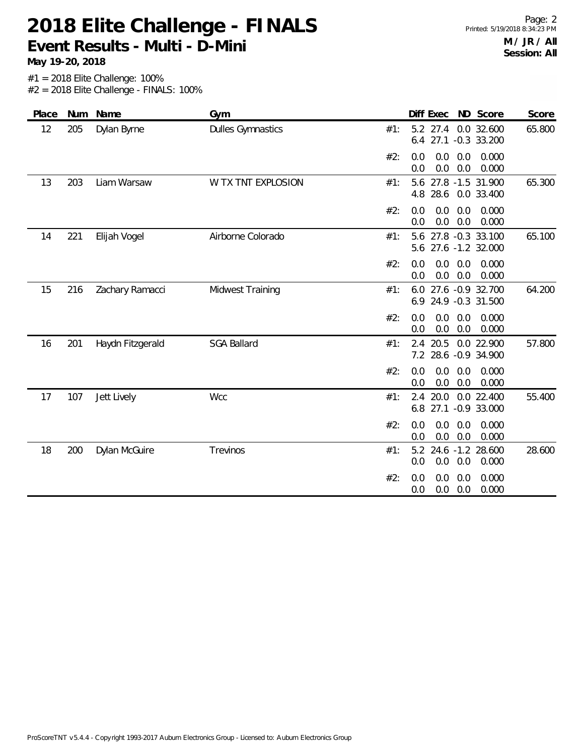**May 19-20, 2018**

Page: 2 Printed: 5/19/2018 8:34:23 PM **M / JR / All Session: All**

| Place | Num | Name             | Gym                      | Diff Exec<br>ND Score                                            | Score  |
|-------|-----|------------------|--------------------------|------------------------------------------------------------------|--------|
| 12    | 205 | Dylan Byrne      | <b>Dulles Gymnastics</b> | 0.0 32.600<br>5.2 27.4<br>#1:<br>27.1<br>$-0.3$ 33.200<br>6.4    | 65.800 |
|       |     |                  |                          | 0.0<br>0.0<br>0.000<br>#2:<br>0.0<br>0.0<br>0.0<br>0.0<br>0.000  |        |
| 13    | 203 | Liam Warsaw      | W TX TNT EXPLOSION       | 27.8 -1.5 31.900<br>#1:<br>5.6<br>28.6<br>0.0 33.400<br>4.8      | 65.300 |
|       |     |                  |                          | #2:<br>0.0<br>0.0<br>0.000<br>0.0<br>0.0<br>0.0<br>0.000<br>0.0  |        |
| 14    | 221 | Elijah Vogel     | Airborne Colorado        | 27.8 -0.3 33.100<br>#1:<br>5.6<br>27.6 -1.2 32.000<br>5.6        | 65.100 |
|       |     |                  |                          | 0.0<br>0.0<br>0.000<br>#2:<br>0.0<br>0.0<br>0.0<br>0.0<br>0.000  |        |
| 15    | 216 | Zachary Ramacci  | Midwest Training         | #1:<br>27.6 -0.9 32.700<br>6.0<br>24.9 -0.3 31.500<br>6.9        | 64.200 |
|       |     |                  |                          | 0.0<br>0.0<br>#2:<br>0.0<br>0.000<br>0.0<br>0.0<br>0.0<br>0.000  |        |
| 16    | 201 | Haydn Fitzgerald | <b>SGA Ballard</b>       | 2.4 20.5<br>0.0 22.900<br>#1:<br>7.2 28.6 -0.9 34.900            | 57.800 |
|       |     |                  |                          | #2:<br>0.0<br>0.0<br>0.0<br>0.000<br>0.0<br>0.0<br>0.000<br>0.0  |        |
| 17    | 107 | Jett Lively      | <b>Wcc</b>               | 20.0<br>0.0 22.400<br>#1:<br>2.4<br>27.1<br>6.8<br>$-0.9$ 33.000 | 55.400 |
|       |     |                  |                          | #2:<br>0.0<br>0.0<br>0.000<br>0.0<br>0.0<br>0.0<br>0.000<br>0.0  |        |
| 18    | 200 | Dylan McGuire    | Trevinos                 | 24.6 -1.2 28.600<br>5.2<br>#1:<br>0.0<br>0.0<br>0.0<br>0.000     | 28.600 |
|       |     |                  |                          | #2:<br>0.000<br>0.0<br>0.0<br>0.0<br>0.0<br>0.0<br>0.000<br>0.0  |        |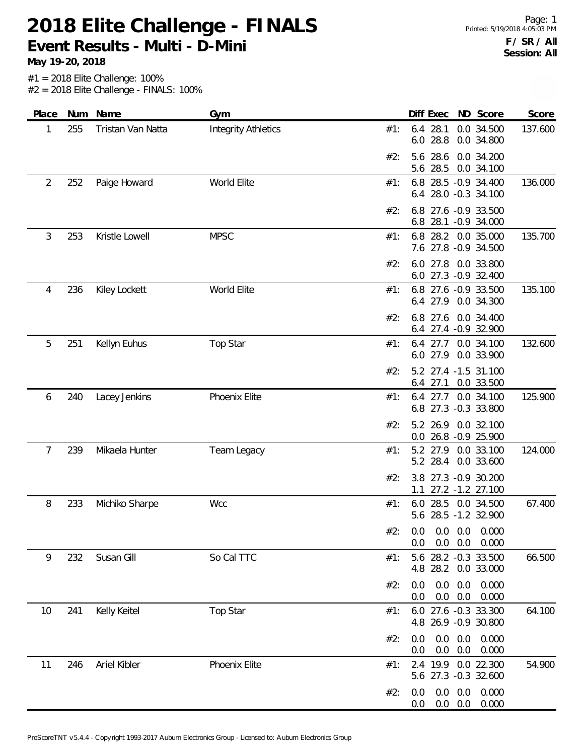**May 19-20, 2018**

Page: 1 Printed: 5/19/2018 4:05:03 PM **F / SR / All Session: All**

| Place | Num | Name              | Gym                        |     | Diff Exec                          |                       | ND Score                                   | Score   |
|-------|-----|-------------------|----------------------------|-----|------------------------------------|-----------------------|--------------------------------------------|---------|
| 1     | 255 | Tristan Van Natta | <b>Integrity Athletics</b> | #1: | 6.4 28.1<br>28.8<br>6.0            |                       | 0.0 34.500<br>0.0 34.800                   | 137.600 |
|       |     |                   |                            | #2: | 28.6<br>5.6<br>28.5<br>5.6         |                       | 0.0 34.200<br>0.0 34.100                   |         |
| 2     | 252 | Paige Howard      | World Elite                | #1: | 6.8 28.5 -0.9 34.400               |                       | 6.4 28.0 -0.3 34.100                       | 136.000 |
|       |     |                   |                            | #2: | 6.8<br>6.8                         |                       | 27.6 -0.9 33.500<br>28.1 -0.9 34.000       |         |
| 3     | 253 | Kristle Lowell    | <b>MPSC</b>                | #1: | 6.8                                |                       | 28.2 0.0 35.000<br>7.6 27.8 -0.9 34.500    | 135.700 |
|       |     |                   |                            | #2: | 6.0 27.8 0.0 33.800                |                       | 6.0 27.3 -0.9 32.400                       |         |
| 4     | 236 | Kiley Lockett     | World Elite                | #1: | 6.8<br>6.4 27.9                    |                       | 27.6 -0.9 33.500<br>0.0 34.300             | 135.100 |
|       |     |                   |                            | #2: | 6.8 27.6 0.0 34.400                |                       | 6.4 27.4 -0.9 32.900                       |         |
| 5     | 251 | Kellyn Euhus      | <b>Top Star</b>            | #1: |                                    |                       | 6.4 27.7 0.0 34.100<br>6.0 27.9 0.0 33.900 | 132.600 |
|       |     |                   |                            | #2: | 5.2<br>$6.4$ 27.1                  |                       | 27.4 -1.5 31.100<br>0.0 33.500             |         |
| 6     | 240 | Lacey Jenkins     | Phoenix Elite              | #1: | $6.4$ 27.7<br>6.8 27.3 -0.3 33.800 |                       | 0.0 34.100                                 | 125.900 |
|       |     |                   |                            | #2: | 5.2 26.9<br>0.0 26.8 -0.9 25.900   |                       | 0.0 32.100                                 |         |
| 7     | 239 | Mikaela Hunter    | Team Legacy                | #1: | 5.2 27.9<br>5.2 28.4               |                       | 0.0 33.100<br>0.0 33.600                   | 124.000 |
|       |     |                   |                            | #2: | 3.8 27.3 -0.9 30.200<br>1.1        |                       | 27.2 -1.2 27.100                           |         |
| 8     | 233 | Michiko Sharpe    | <b>Wcc</b>                 | #1: | 6.0 28.5 0.0 34.500                |                       | 5.6 28.5 -1.2 32.900                       | 67.400  |
|       |     |                   |                            | #2: | 0.0<br>0.0<br>0.0                  | $0.0\quad 0.0$<br>0.0 | 0.000<br>0.000                             |         |
| 9     | 232 | Susan Gill        | So Cal TTC                 | #1: | 4.8 28.2 0.0 33.000                |                       | 5.6 28.2 -0.3 33.500                       | 66.500  |
|       |     |                   |                            | #2: | 0.0<br>0.0<br>0.0<br>0.0           | 0.0<br>0.0            | 0.000<br>0.000                             |         |
| 10    | 241 | Kelly Keitel      | <b>Top Star</b>            | #1: | 6.0 27.6 -0.3 33.300               |                       | 4.8 26.9 -0.9 30.800                       | 64.100  |
|       |     |                   |                            | #2: | 0.0<br>0.0<br>0.0<br>0.0           | 0.0<br>0.0            | 0.000<br>0.000                             |         |
| 11    | 246 | Ariel Kibler      | Phoenix Elite              | #1: | 2.4 19.9 0.0 22.300                |                       | 5.6 27.3 -0.3 32.600                       | 54.900  |
|       |     |                   |                            | #2: | 0.0<br>0.0<br>0.0<br>0.0           | 0.0<br>0.0            | 0.000<br>0.000                             |         |